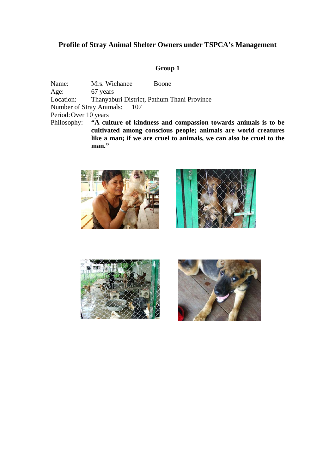# **Profile of Stray Animal Shelter Owners under TSPCA's Management**

### **Group 1**

Name: Mrs. Wichanee Boone Age: 67 years Location: Thanyaburi District, Pathum Thani Province Number of Stray Animals: 107 Period: Over 10 years Philosophy: **"A culture of kindness and compassion towards animals is to be cultivated among conscious people; animals are world creatures like a man; if we are cruel to animals, we can also be cruel to the** 



**man."** 





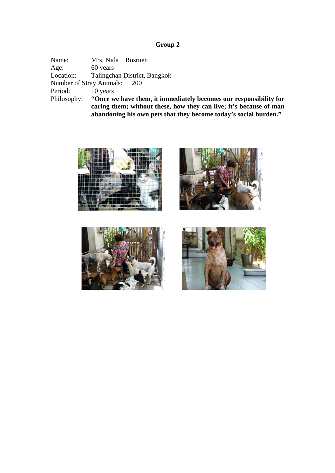Name: Mrs. Nida Rosruen Age: 60 years<br>Location: Talingch Talingchan District, Bangkok Number of Stray Animals: 200 Period: 10 years<br>Philosophy: "Once w "Once we have them, it immediately becomes our responsibility for **caring them; without these, how they can live; it's because of man abandoning his own pets that they become today's social burden."** 







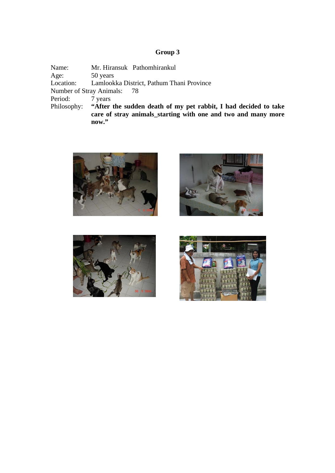Name: Mr. Hiransuk Pathomhirankul Age: 50 years Location: Lamlookka District, Pathum Thani Province Number of Stray Animals: 78 Period: 7 years Philosophy: **"After the sudden death of my pet rabbit, I had decided to take care of stray animals\_starting with one and two and many more now."**







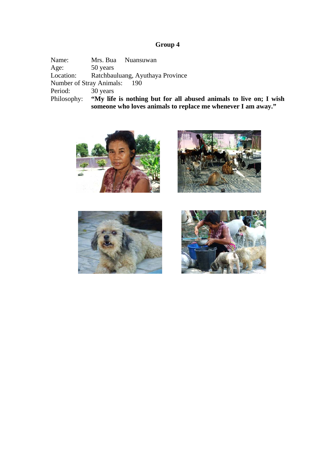Name: Mrs. Bua Nuansuwan<br>Age: 50 years Age: 50 years<br>Location: Ratchbau Ratchbauluang, Ayuthaya Province Number of Stray Animals: 190 Period: 30 years<br>Philosophy: "My life" "My life is nothing but for all abused animals to live on; I wish **someone who loves animals to replace me whenever I am away."** 







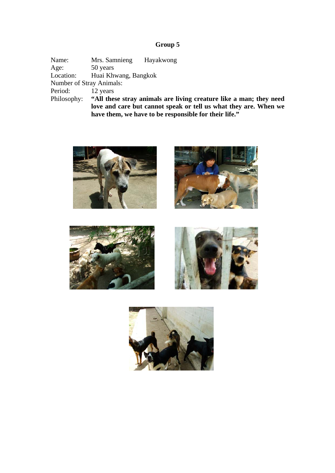Name: Mrs. Samnieng Hayakwong<br>Age: 50 years Age: 50 years<br>
Location: Huai Kh Huai Khwang, Bangkok Number of Stray Animals: Period: 12 years<br>Philosophy: "All the "All these stray animals are living creature like a man; they need **love and care but cannot speak or tell us what they are. When we have them, we have to be responsible for their life."** 









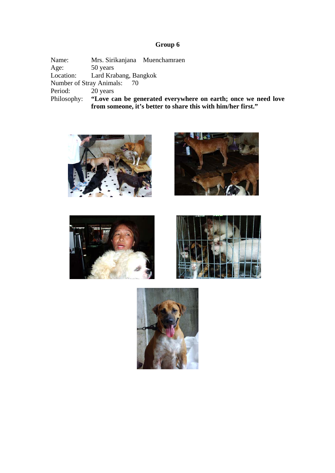Name: Mrs. Sirikanjana Muenchamraen<br>Age: 50 years Age: 50 years<br>
Location: Lard Kra Lard Krabang, Bangkok Number of Stray Animals: 70 Period: 20 years<br>Philosophy: "Love ca Philosophy: **"Love can be generated everywhere on earth; once we need love from someone, it's better to share this with him/her first."** 









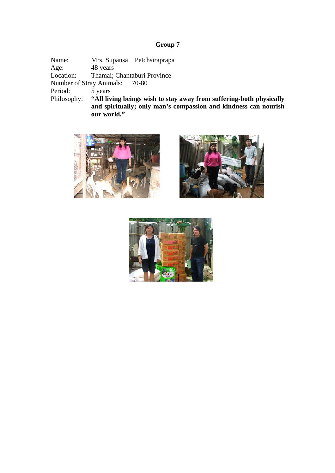Name: Mrs. Supansa Petchsiraprapa<br>Age: 48 years Age: 48 years<br>Location: Thamai; Thamai; Chantaburi Province Number of Stray Animals: 70-80 Period: 5 years<br>Philosophy: "All liv "All living beings wish to stay away from suffering-both physically **and spiritually; only man's compassion and kindness can nourish our world."** 





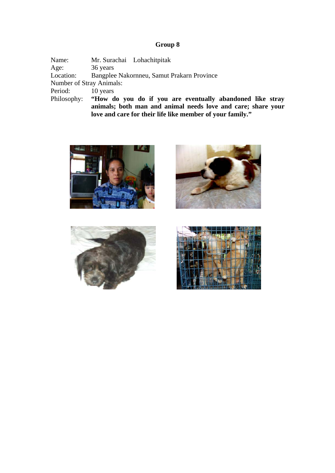Name: Mr. Surachai Lohachitpitak<br>Age: 36 years Age: 36 years<br>Location: Bangples Bangplee Nakornneu, Samut Prakarn Province Number of Stray Animals: Period: 10 years<br>Philosophy: "How d "How do you do if you are eventually abandoned like stray **animals; both man and animal needs love and care; share your love and care for their life like member of your family."** 







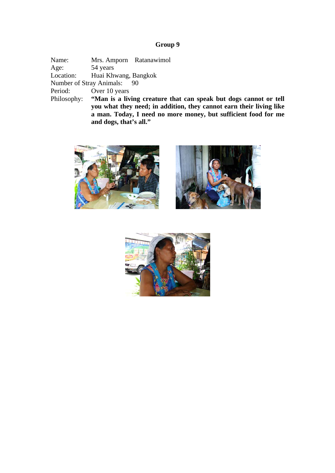Name: Mrs. Amporn Ratanawimol Age: 54 years<br>
Location: Huai Kh Huai Khwang, Bangkok Number of Stray Animals: 90 Period: Over 10 years Philosophy: **"Man is a living creature that can speak but dogs cannot or tell you what they need; in addition, they cannot earn their living like a man. Today, I need no more money, but sufficient food for me and dogs, that's all."**





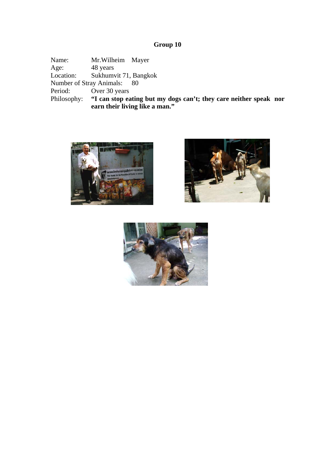Name: Mr.Wilheim Mayer<br>Age: 48 years Age: 48 years<br>
Location: Sukhumy Sukhumvit 71, Bangkok Number of Stray Animals: 80 Period: Over 30 years<br>Philosophy: "I can stop ea Philosophy: **"I can stop eating but my dogs can't; they care neither speak nor earn their living like a man."** 





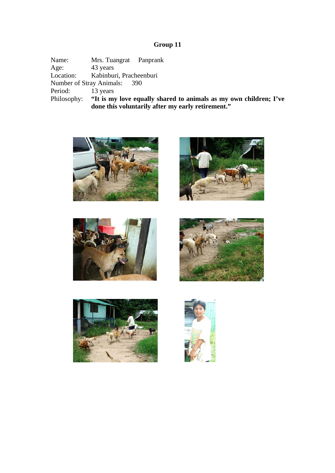Name: Mrs. Tuangrat Panprank<br>Age: 43 years Age: 43 years<br>
Location: Kabinbur Kabinburi, Pracheenburi Number of Stray Animals: 390 Period: 13 years<br>Philosophy: "It is my Philosophy: **"It is my love equally shared to animals as my own children; I've done this voluntarily after my early retirement."** 











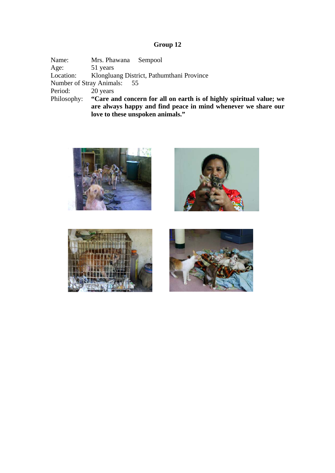Name: Mrs. Phawana Sempool Age: 51 years<br>Location: Klonglua Klongluang District, Pathumthani Province Number of Stray Animals: 55 Period: 20 years<br>Philosophy: "Care and "Care and concern for all on earth is of highly spiritual value; we **are always happy and find peace in mind whenever we share our love to these unspoken animals."** 







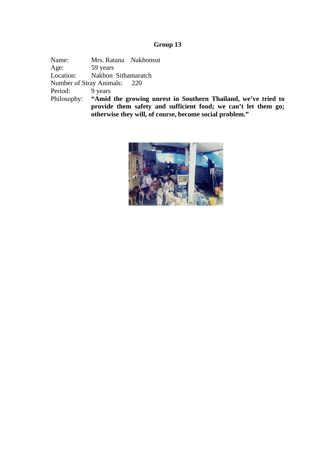Name: Mrs. Ratana Nakhonsut Age: 59 years Location: Nakhon Sithamaratch Number of Stray Animals: 220 Period: 9 years Philosophy: **"Amid the growing unrest in Southern Thailand, we've tried to provide them safety and sufficient food; we can't let them go; otherwise they will, of course, become social problem."** 

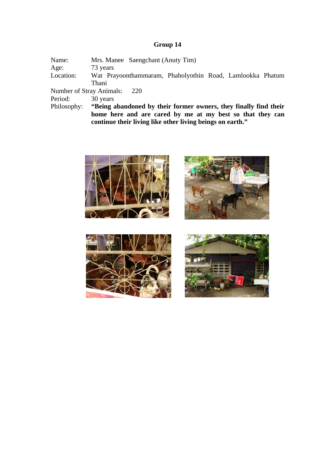| Name:     | Mrs. Manee Saengchant (Anuty Tim)                                                                                      |
|-----------|------------------------------------------------------------------------------------------------------------------------|
| Age:      | 73 years                                                                                                               |
| Location: | Wat Prayoonthammaram, Phaholyothin Road, Lamlookka Phatum                                                              |
|           | Thani                                                                                                                  |
|           | Number of Stray Animals: 220                                                                                           |
| Period:   | 30 years                                                                                                               |
|           | Philosophy: "Being abandoned by their former owners, they finally find their                                           |
|           | home here and are cared by me at my best so that they can<br>continue their living like other living beings on earth." |







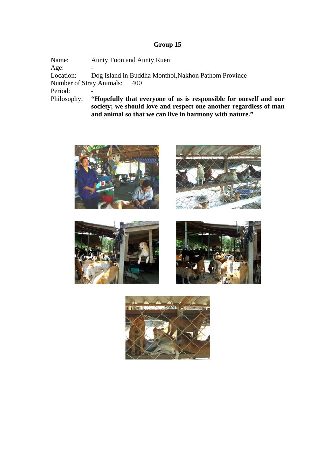**and animal so that we can live in harmony with nature."**

Name: Aunty Toon and Aunty Ruen Age:<br>Location: Dog Island in Buddha Monthol,Nakhon Pathom Province Number of Stray Animals: 400 Period:<br>Philosophy: "Hopefully that everyone of us is responsible for oneself and our **society; we should love and respect one another regardless of man** 









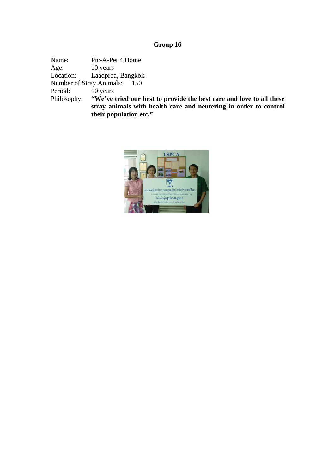Name: Pic-A-Pet 4 Home Age: 10 years<br>
Location: Laadproa Laadproa, Bangkok Number of Stray Animals: 150 Period: 10 years<br>Philosophy: "We've "We've tried our best to provide the best care and love to all these **stray animals with health care and neutering in order to control their population etc."**